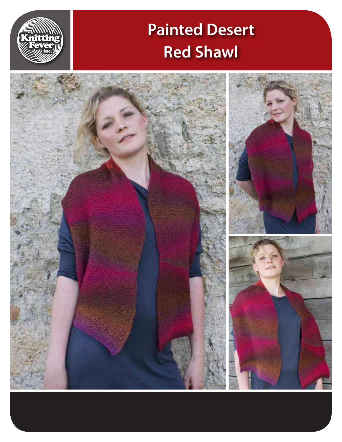# **Painted Desert Red Shawl**